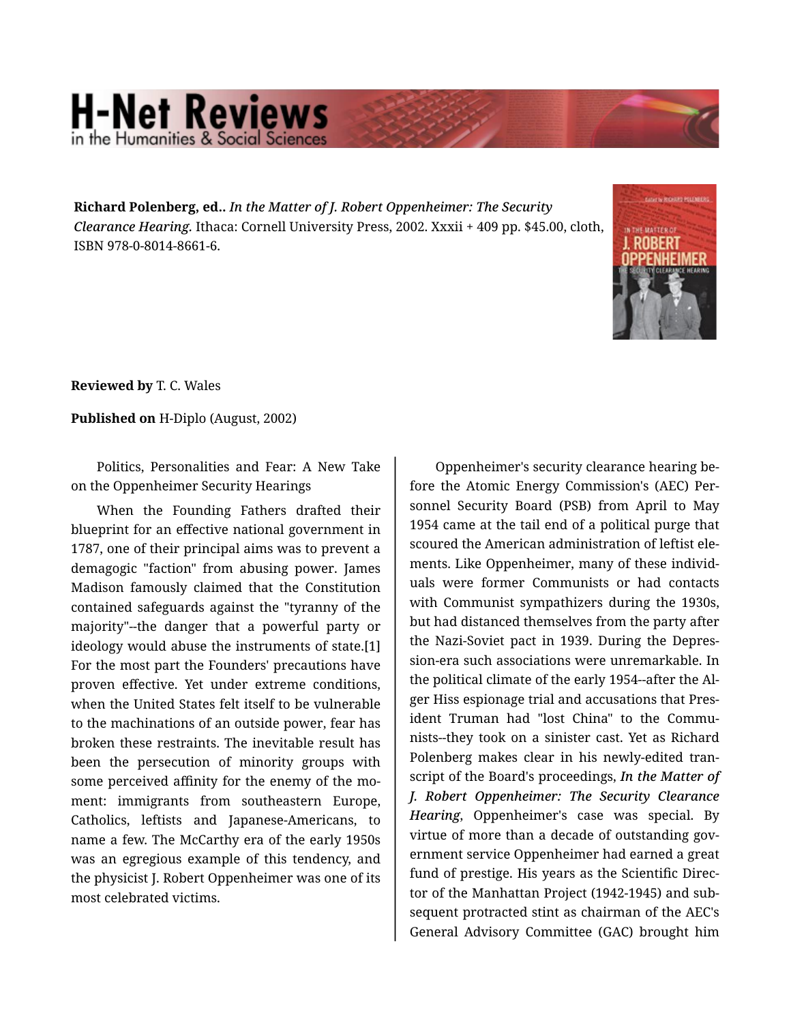## **H-Net Reviews** in the Humanities & Social Sciene

**Richard Polenberg, ed..** *In the Matter of J. Robert Oppenheimer: The Security Clearance Hearing.* Ithaca: Cornell University Press, 2002. Xxxii + 409 pp. \$45.00, cloth, ISBN 978-0-8014-8661-6.



**Reviewed by** T. C. Wales

**Published on** H-Diplo (August, 2002)

Politics, Personalities and Fear: A New Take on the Oppenheimer Security Hearings

When the Founding Fathers drafted their blueprint for an effective national government in 1787, one of their principal aims was to prevent a demagogic "faction" from abusing power. James Madison famously claimed that the Constitution contained safeguards against the "tyranny of the majority"--the danger that a powerful party or ideology would abuse the instruments of state.[1] For the most part the Founders' precautions have proven effective. Yet under extreme conditions, when the United States felt itself to be vulnerable to the machinations of an outside power, fear has broken these restraints. The inevitable result has been the persecution of minority groups with some perceived affinity for the enemy of the moment: immigrants from southeastern Europe, Catholics, leftists and Japanese-Americans, to name a few. The McCarthy era of the early 1950s was an egregious example of this tendency, and the physicist J. Robert Oppenheimer was one of its most celebrated victims.

Oppenheimer's security clearance hearing be‐ fore the Atomic Energy Commission's (AEC) Per‐ sonnel Security Board (PSB) from April to May 1954 came at the tail end of a political purge that scoured the American administration of leftist ele‐ ments. Like Oppenheimer, many of these individ‐ uals were former Communists or had contacts with Communist sympathizers during the 1930s, but had distanced themselves from the party after the Nazi-Soviet pact in 1939. During the Depres‐ sion-era such associations were unremarkable. In the political climate of the early 1954--after the Al‐ ger Hiss espionage trial and accusations that Pres‐ ident Truman had "lost China" to the Communists--they took on a sinister cast. Yet as Richard Polenberg makes clear in his newly-edited tran‐ script of the Board's proceedings, *In the Matter of J. Robert Oppenheimer: The Security Clearance Hearing*, Oppenheimer's case was special. By virtue of more than a decade of outstanding government service Oppenheimer had earned a great fund of prestige. His years as the Scientific Direc‐ tor of the Manhattan Project (1942-1945) and sub‐ sequent protracted stint as chairman of the AEC's General Advisory Committee (GAC) brought him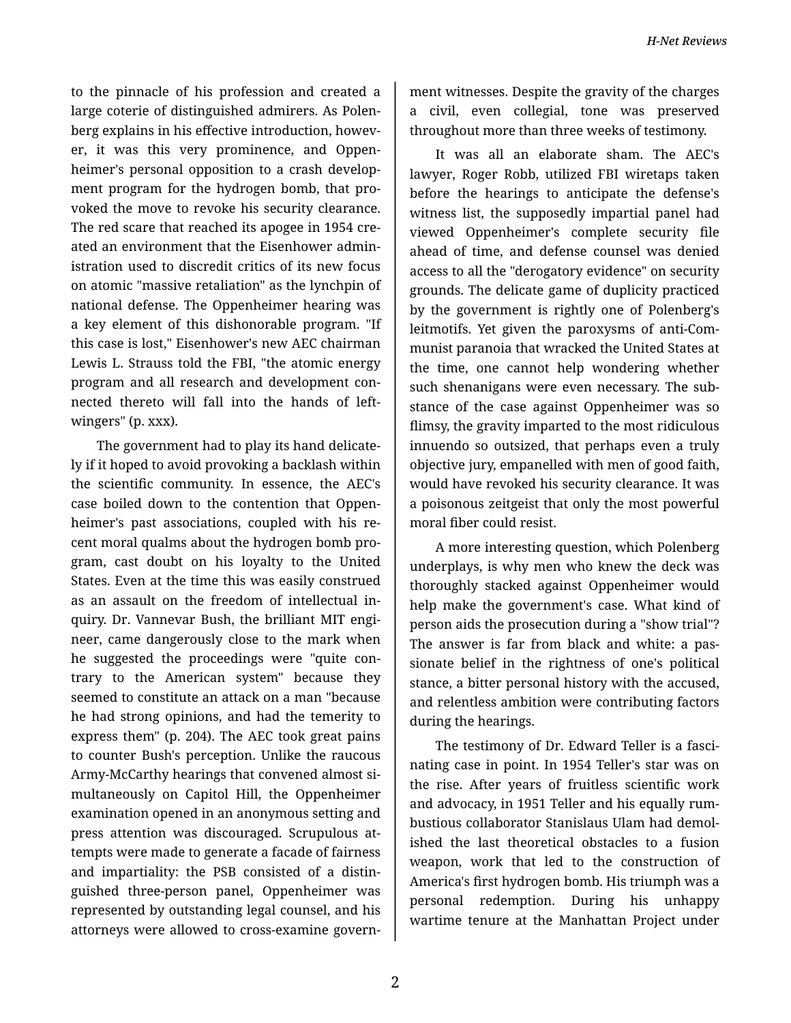to the pinnacle of his profession and created a large coterie of distinguished admirers. As Polenberg explains in his effective introduction, however, it was this very prominence, and Oppen‐ heimer's personal opposition to a crash develop‐ ment program for the hydrogen bomb, that pro‐ voked the move to revoke his security clearance. The red scare that reached its apogee in 1954 created an environment that the Eisenhower admin‐ istration used to discredit critics of its new focus on atomic "massive retaliation" as the lynchpin of national defense. The Oppenheimer hearing was a key element of this dishonorable program. "If this case is lost," Eisenhower's new AEC chairman Lewis L. Strauss told the FBI, "the atomic energy program and all research and development con‐ nected thereto will fall into the hands of leftwingers" (p. xxx).

The government had to play its hand delicate‐ ly if it hoped to avoid provoking a backlash within the scientific community. In essence, the AEC's case boiled down to the contention that Oppen‐ heimer's past associations, coupled with his re‐ cent moral qualms about the hydrogen bomb pro‐ gram, cast doubt on his loyalty to the United States. Even at the time this was easily construed as an assault on the freedom of intellectual in‐ quiry. Dr. Vannevar Bush, the brilliant MIT engi‐ neer, came dangerously close to the mark when he suggested the proceedings were "quite con‐ trary to the American system" because they seemed to constitute an attack on a man "because he had strong opinions, and had the temerity to express them" (p. 204). The AEC took great pains to counter Bush's perception. Unlike the raucous Army-McCarthy hearings that convened almost si‐ multaneously on Capitol Hill, the Oppenheimer examination opened in an anonymous setting and press attention was discouraged. Scrupulous at‐ tempts were made to generate a facade of fairness and impartiality: the PSB consisted of a distin‐ guished three-person panel, Oppenheimer was represented by outstanding legal counsel, and his attorneys were allowed to cross-examine govern‐

ment witnesses. Despite the gravity of the charges a civil, even collegial, tone was preserved throughout more than three weeks of testimony.

It was all an elaborate sham. The AEC's lawyer, Roger Robb, utilized FBI wiretaps taken before the hearings to anticipate the defense's witness list, the supposedly impartial panel had viewed Oppenheimer's complete security file ahead of time, and defense counsel was denied access to all the "derogatory evidence" on security grounds. The delicate game of duplicity practiced by the government is rightly one of Polenberg's leitmotifs. Yet given the paroxysms of anti-Com‐ munist paranoia that wracked the United States at the time, one cannot help wondering whether such shenanigans were even necessary. The sub‐ stance of the case against Oppenheimer was so flimsy, the gravity imparted to the most ridiculous innuendo so outsized, that perhaps even a truly objective jury, empanelled with men of good faith, would have revoked his security clearance. It was a poisonous zeitgeist that only the most powerful moral fiber could resist.

A more interesting question, which Polenberg underplays, is why men who knew the deck was thoroughly stacked against Oppenheimer would help make the government's case. What kind of person aids the prosecution during a "show trial"? The answer is far from black and white: a pas‐ sionate belief in the rightness of one's political stance, a bitter personal history with the accused, and relentless ambition were contributing factors during the hearings.

The testimony of Dr. Edward Teller is a fasci‐ nating case in point. In 1954 Teller's star was on the rise. After years of fruitless scientific work and advocacy, in 1951 Teller and his equally rum‐ bustious collaborator Stanislaus Ulam had demol‐ ished the last theoretical obstacles to a fusion weapon, work that led to the construction of America's first hydrogen bomb. His triumph was a personal redemption. During his unhappy wartime tenure at the Manhattan Project under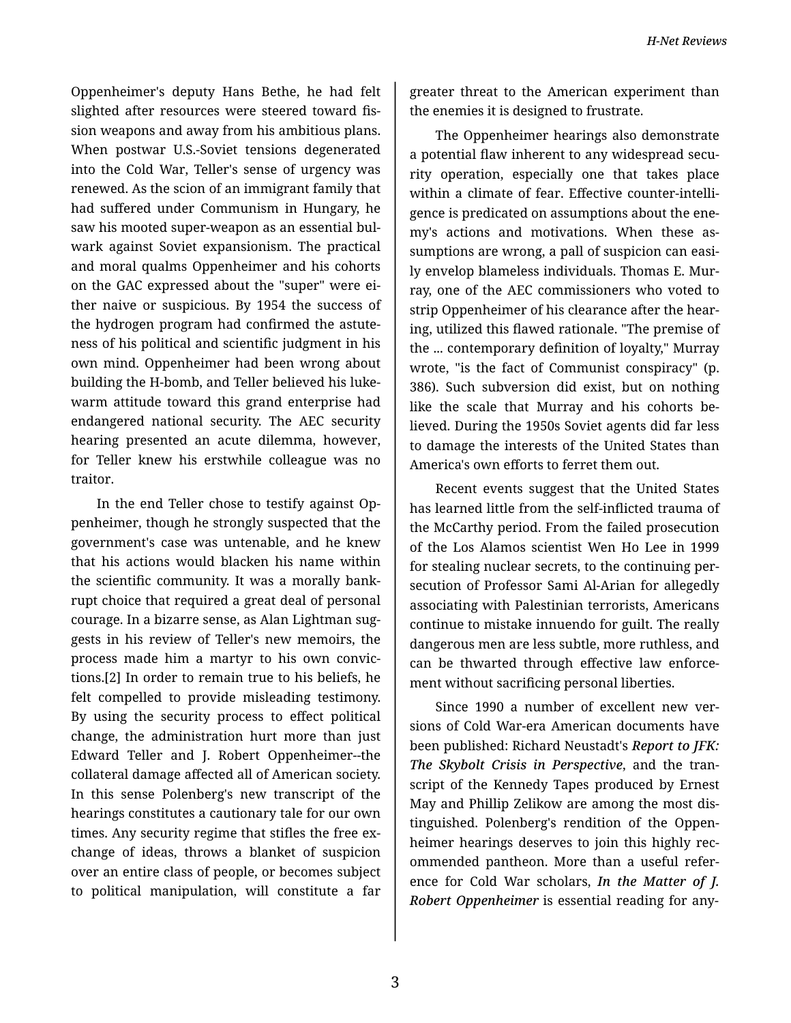Oppenheimer's deputy Hans Bethe, he had felt slighted after resources were steered toward fis‐ sion weapons and away from his ambitious plans. When postwar U.S.-Soviet tensions degenerated into the Cold War, Teller's sense of urgency was renewed. As the scion of an immigrant family that had suffered under Communism in Hungary, he saw his mooted super-weapon as an essential bul‐ wark against Soviet expansionism. The practical and moral qualms Oppenheimer and his cohorts on the GAC expressed about the "super" were ei‐ ther naive or suspicious. By 1954 the success of the hydrogen program had confirmed the astute‐ ness of his political and scientific judgment in his own mind. Oppenheimer had been wrong about building the H-bomb, and Teller believed his luke‐ warm attitude toward this grand enterprise had endangered national security. The AEC security hearing presented an acute dilemma, however, for Teller knew his erstwhile colleague was no traitor.

In the end Teller chose to testify against Op‐ penheimer, though he strongly suspected that the government's case was untenable, and he knew that his actions would blacken his name within the scientific community. It was a morally bank‐ rupt choice that required a great deal of personal courage. In a bizarre sense, as Alan Lightman sug‐ gests in his review of Teller's new memoirs, the process made him a martyr to his own convic‐ tions.[2] In order to remain true to his beliefs, he felt compelled to provide misleading testimony. By using the security process to effect political change, the administration hurt more than just Edward Teller and J. Robert Oppenheimer--the collateral damage affected all of American society. In this sense Polenberg's new transcript of the hearings constitutes a cautionary tale for our own times. Any security regime that stifles the free ex‐ change of ideas, throws a blanket of suspicion over an entire class of people, or becomes subject to political manipulation, will constitute a far

greater threat to the American experiment than the enemies it is designed to frustrate.

The Oppenheimer hearings also demonstrate a potential flaw inherent to any widespread secu‐ rity operation, especially one that takes place within a climate of fear. Effective counter-intelli‐ gence is predicated on assumptions about the ene‐ my's actions and motivations. When these as‐ sumptions are wrong, a pall of suspicion can easi‐ ly envelop blameless individuals. Thomas E. Mur‐ ray, one of the AEC commissioners who voted to strip Oppenheimer of his clearance after the hear‐ ing, utilized this flawed rationale. "The premise of the ... contemporary definition of loyalty," Murray wrote, "is the fact of Communist conspiracy" (p. 386). Such subversion did exist, but on nothing like the scale that Murray and his cohorts be‐ lieved. During the 1950s Soviet agents did far less to damage the interests of the United States than America's own efforts to ferret them out.

Recent events suggest that the United States has learned little from the self-inflicted trauma of the McCarthy period. From the failed prosecution of the Los Alamos scientist Wen Ho Lee in 1999 for stealing nuclear secrets, to the continuing per‐ secution of Professor Sami Al-Arian for allegedly associating with Palestinian terrorists, Americans continue to mistake innuendo for guilt. The really dangerous men are less subtle, more ruthless, and can be thwarted through effective law enforce‐ ment without sacrificing personal liberties.

Since 1990 a number of excellent new versions of Cold War-era American documents have been published: Richard Neustadt's *Report to JFK: The Skybolt Crisis in Perspective*, and the tran‐ script of the Kennedy Tapes produced by Ernest May and Phillip Zelikow are among the most dis‐ tinguished. Polenberg's rendition of the Oppen‐ heimer hearings deserves to join this highly recommended pantheon. More than a useful refer‐ ence for Cold War scholars, *In the Matter of J. Robert Oppenheimer* is essential reading for any‐